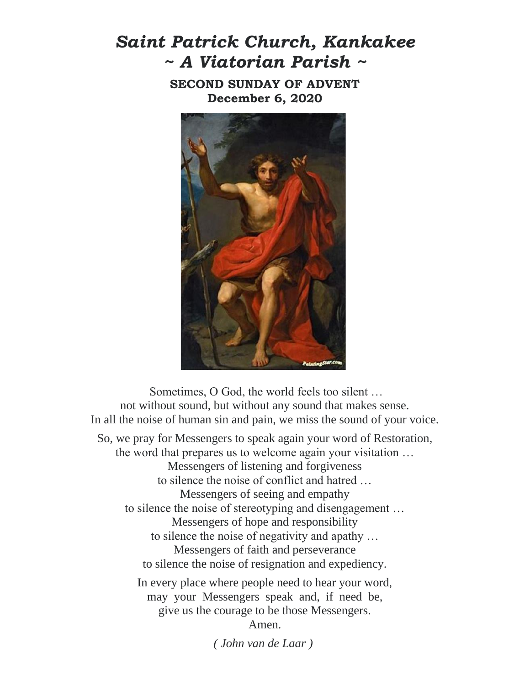## *Saint Patrick Church, Kankakee ~ A Viatorian Parish ~*

**SECOND SUNDAY OF ADVENT December 6, 2020**



Sometimes, O God, the world feels too silent … not without sound, but without any sound that makes sense. In all the noise of human sin and pain, we miss the sound of your voice. So, we pray for Messengers to speak again your word of Restoration, the word that prepares us to welcome again your visitation … Messengers of listening and forgiveness to silence the noise of conflict and hatred … Messengers of seeing and empathy to silence the noise of stereotyping and disengagement … Messengers of hope and responsibility to silence the noise of negativity and apathy … Messengers of faith and perseverance to silence the noise of resignation and expediency. In every place where people need to hear your word, may your Messengers speak and, if need be, give us the courage to be those Messengers. Amen.

*( John van de Laar )*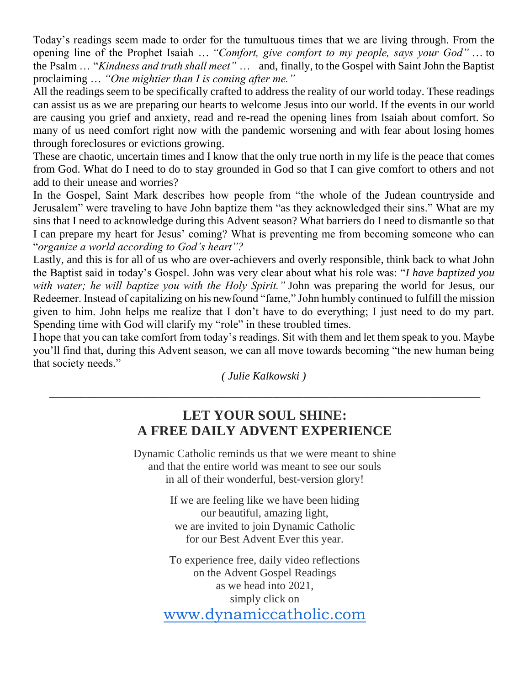Today's readings seem made to order for the tumultuous times that we are living through. From the opening line of the Prophet Isaiah … *"Comfort, give comfort to my people, says your God"* … to the Psalm … "*Kindness and truth shall meet"* … and, finally, to the Gospel with Saint John the Baptist proclaiming … *"One mightier than I is coming after me."*

All the readings seem to be specifically crafted to address the reality of our world today. These readings can assist us as we are preparing our hearts to welcome Jesus into our world. If the events in our world are causing you grief and anxiety, read and re-read the opening lines from Isaiah about comfort. So many of us need comfort right now with the pandemic worsening and with fear about losing homes through foreclosures or evictions growing.

These are chaotic, uncertain times and I know that the only true north in my life is the peace that comes from God. What do I need to do to stay grounded in God so that I can give comfort to others and not add to their unease and worries?

In the Gospel, Saint Mark describes how people from "the whole of the Judean countryside and Jerusalem" were traveling to have John baptize them "as they acknowledged their sins." What are my sins that I need to acknowledge during this Advent season? What barriers do I need to dismantle so that I can prepare my heart for Jesus' coming? What is preventing me from becoming someone who can "*organize a world according to God's heart"?*

Lastly, and this is for all of us who are over-achievers and overly responsible, think back to what John the Baptist said in today's Gospel. John was very clear about what his role was: "*I have baptized you with water; he will baptize you with the Holy Spirit."* John was preparing the world for Jesus, our Redeemer. Instead of capitalizing on his newfound "fame," John humbly continued to fulfill the mission given to him. John helps me realize that I don't have to do everything; I just need to do my part. Spending time with God will clarify my "role" in these troubled times.

I hope that you can take comfort from today's readings. Sit with them and let them speak to you. Maybe you'll find that, during this Advent season, we can all move towards becoming "the new human being that society needs."

*( Julie Kalkowski )*  $\_$  , and the set of the set of the set of the set of the set of the set of the set of the set of the set of the set of the set of the set of the set of the set of the set of the set of the set of the set of the set of th

#### **LET YOUR SOUL SHINE: A FREE DAILY ADVENT EXPERIENCE**

Dynamic Catholic reminds us that we were meant to shine and that the entire world was meant to see our souls in all of their wonderful, best-version glory!

> If we are feeling like we have been hiding our beautiful, amazing light, we are invited to join Dynamic Catholic for our Best Advent Ever this year.

To experience free, daily video reflections on the Advent Gospel Readings as we head into 2021, simply click on [www.dynamiccatholic.com](http://www.dynamiccatholic.com/)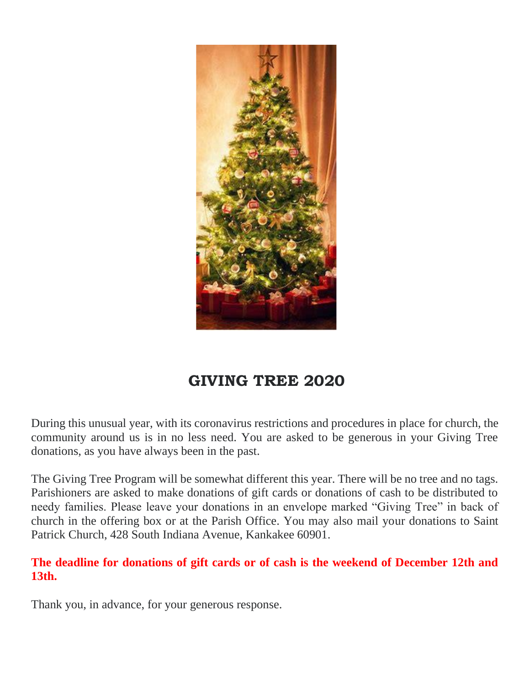

## **GIVING TREE 2020**

During this unusual year, with its coronavirus restrictions and procedures in place for church, the community around us is in no less need. You are asked to be generous in your Giving Tree donations, as you have always been in the past.

The Giving Tree Program will be somewhat different this year. There will be no tree and no tags. Parishioners are asked to make donations of gift cards or donations of cash to be distributed to needy families. Please leave your donations in an envelope marked "Giving Tree" in back of church in the offering box or at the Parish Office. You may also mail your donations to Saint Patrick Church, 428 South Indiana Avenue, Kankakee 60901.

#### **The deadline for donations of gift cards or of cash is the weekend of December 12th and 13th.**

Thank you, in advance, for your generous response.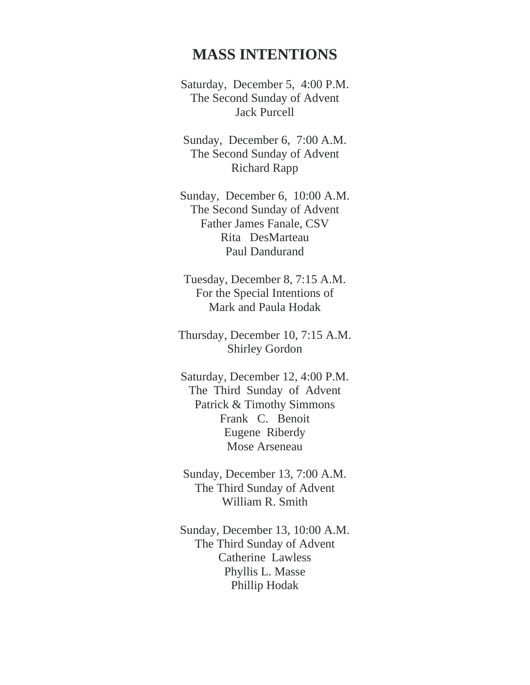#### **MASS INTENTIONS**

Saturday, December 5, 4:00 P.M. The Second Sunday of Advent Jack Purcell

Sunday, December 6, 7:00 A.M. The Second Sunday of Advent Richard Rapp

Sunday, December 6, 10:00 A.M. The Second Sunday of Advent Father James Fanale, CSV Rita DesMarteau Paul Dandurand

Tuesday, December 8, 7:15 A.M. For the Special Intentions of Mark and Paula Hodak

Thursday, December 10, 7:15 A.M. Shirley Gordon

Saturday, December 12, 4:00 P.M. The Third Sunday of Advent Patrick & Timothy Simmons Frank C. Benoit Eugene Riberdy Mose Arseneau

Sunday, December 13, 7:00 A.M. The Third Sunday of Advent William R. Smith

Sunday, December 13, 10:00 A.M. The Third Sunday of Advent Catherine Lawless Phyllis L. Masse Phillip Hodak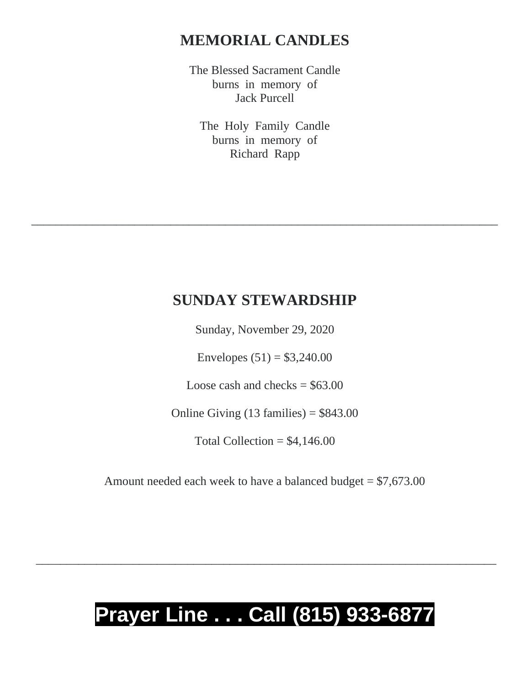### **MEMORIAL CANDLES**

The Blessed Sacrament Candle burns in memory of Jack Purcell

The Holy Family Candle burns in memory of Richard Rapp

#### **SUNDAY STEWARDSHIP**

\_\_\_\_\_\_\_\_\_\_\_\_\_\_\_\_\_\_\_\_\_\_\_\_\_\_\_\_\_\_\_\_\_\_\_\_\_\_\_\_\_\_\_\_\_\_\_\_\_\_\_\_\_\_\_\_\_\_\_\_\_\_\_\_\_\_\_\_\_\_\_\_\_\_\_\_\_

Sunday, November 29, 2020

Envelopes  $(51) = $3,240.00$ 

Loose cash and checks  $= $63.00$ 

Online Giving  $(13 \text{ families}) = $843.00$ 

Total Collection =  $$4,146.00$ 

Amount needed each week to have a balanced budget  $= $7,673.00$ 

# **Prayer Line . . . Call (815) 933-6877**

\_\_\_\_\_\_\_\_\_\_\_\_\_\_\_\_\_\_\_\_\_\_\_\_\_\_\_\_\_\_\_\_\_\_\_\_\_\_\_\_\_\_\_\_\_\_\_\_\_\_\_\_\_\_\_\_\_\_\_\_\_\_\_\_\_\_\_\_\_\_\_\_\_\_\_\_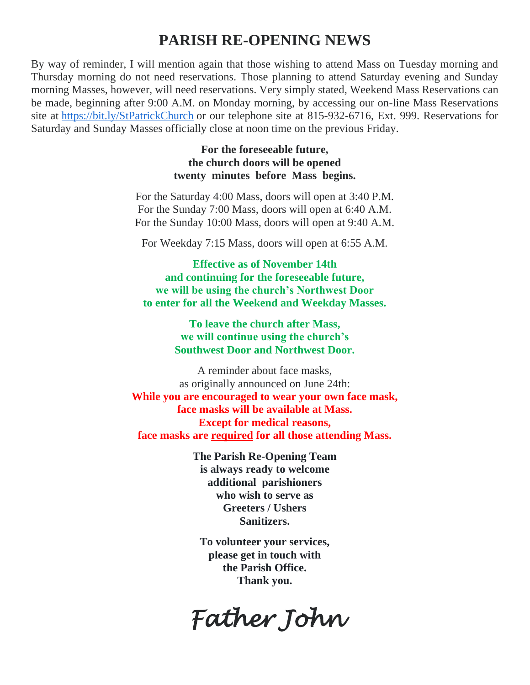#### **PARISH RE-OPENING NEWS**

By way of reminder, I will mention again that those wishing to attend Mass on Tuesday morning and Thursday morning do not need reservations. Those planning to attend Saturday evening and Sunday morning Masses, however, will need reservations. Very simply stated, Weekend Mass Reservations can be made, beginning after 9:00 A.M. on Monday morning, by accessing our on-line Mass Reservations site at <https://bit.ly/StPatrickChurch> or our telephone site at 815-932-6716, Ext. 999. Reservations for Saturday and Sunday Masses officially close at noon time on the previous Friday.

> **For the foreseeable future, the church doors will be opened twenty minutes before Mass begins.**

For the Saturday 4:00 Mass, doors will open at 3:40 P.M. For the Sunday 7:00 Mass, doors will open at 6:40 A.M. For the Sunday 10:00 Mass, doors will open at 9:40 A.M.

For Weekday 7:15 Mass, doors will open at 6:55 A.M.

**Effective as of November 14th and continuing for the foreseeable future, we will be using the church's Northwest Door to enter for all the Weekend and Weekday Masses.**

> **To leave the church after Mass, we will continue using the church's Southwest Door and Northwest Door.**

A reminder about face masks, as originally announced on June 24th: **While you are encouraged to wear your own face mask, face masks will be available at Mass. Except for medical reasons, face masks are required for all those attending Mass.**

> **The Parish Re-Opening Team is always ready to welcome additional parishioners who wish to serve as Greeters / Ushers Sanitizers.**

**To volunteer your services, please get in touch with the Parish Office. Thank you.**

*Father John*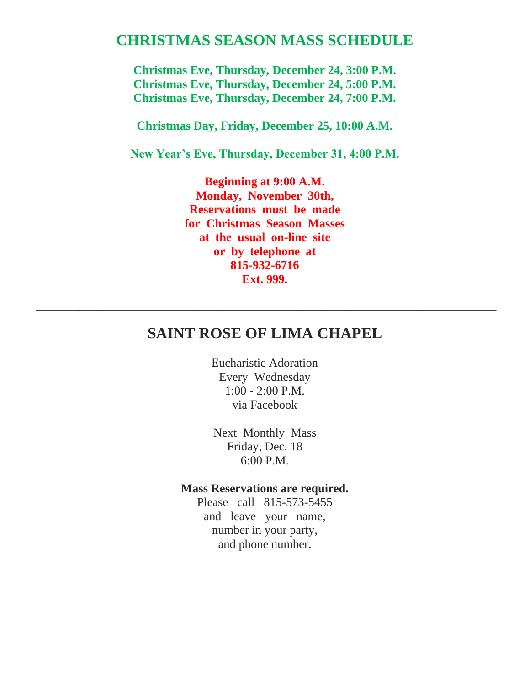#### **CHRISTMAS SEASON MASS SCHEDULE**

**Christmas Eve, Thursday, December 24, 3:00 P.M. Christmas Eve, Thursday, December 24, 5:00 P.M. Christmas Eve, Thursday, December 24, 7:00 P.M.**

**Christmas Day, Friday, December 25, 10:00 A.M.**

**New Year's Eve, Thursday, December 31, 4:00 P.M.**

**Beginning at 9:00 A.M. Monday, November 30th, Reservations must be made for Christmas Season Masses at the usual on-line site or by telephone at 815-932-6716 Ext. 999.**

#### **SAINT ROSE OF LIMA CHAPEL**

\_\_\_\_\_\_\_\_\_\_\_\_\_\_\_\_\_\_\_\_\_\_\_\_\_\_\_\_\_\_\_\_\_\_\_\_\_\_\_\_\_\_\_\_\_\_\_\_\_\_\_\_\_\_\_\_\_\_\_\_\_\_\_\_\_\_\_\_\_\_\_\_\_\_\_\_

Eucharistic Adoration Every Wednesday 1:00 - 2:00 P.M. via Facebook

Next Monthly Mass Friday, Dec. 18 6:00 P.M.

#### **Mass Reservations are required.**

Please call 815-573-5455 and leave your name, number in your party, and phone number.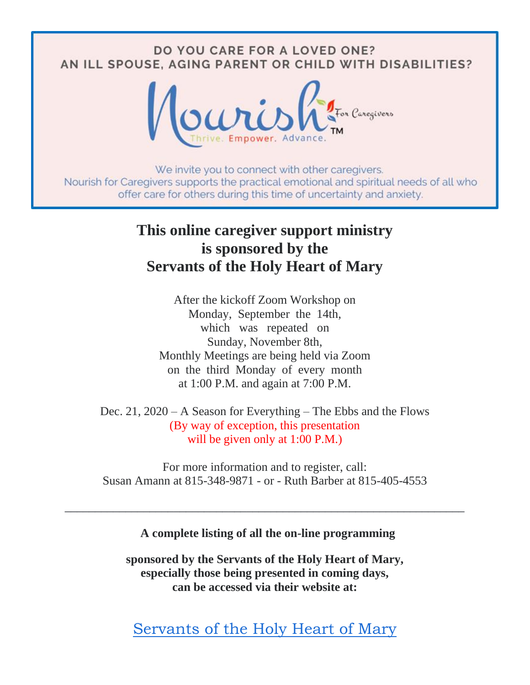### DO YOU CARE FOR A LOVED ONE? AN ILL SPOUSE, AGING PARENT OR CHILD WITH DISABILITIES?



We invite you to connect with other caregivers. Nourish for Caregivers supports the practical emotional and spiritual needs of all who offer care for others during this time of uncertainty and anxiety.

## **This online caregiver support ministry is sponsored by the Servants of the Holy Heart of Mary**

After the kickoff Zoom Workshop on Monday, September the 14th, which was repeated on Sunday, November 8th, Monthly Meetings are being held via Zoom on the third Monday of every month at 1:00 P.M. and again at 7:00 P.M.

Dec. 21, 2020 – A Season for Everything – The Ebbs and the Flows (By way of exception, this presentation will be given only at 1:00 P.M.)

For more information and to register, call: Susan Amann at 815-348-9871 - or - Ruth Barber at 815-405-4553

\_\_\_\_\_\_\_\_\_\_\_\_\_\_\_\_\_\_\_\_\_\_\_\_\_\_\_\_\_\_\_\_\_\_\_\_\_\_\_\_\_\_\_\_\_\_\_\_\_\_\_\_\_\_\_\_\_\_\_\_\_\_\_\_\_\_

**A complete listing of all the on-line programming**

**sponsored by the Servants of the Holy Heart of Mary, especially those being presented in coming days, can be accessed via their website at:**

[Servants of the Holy Heart of Mary](http://sscm-usa.org/online-programming.html)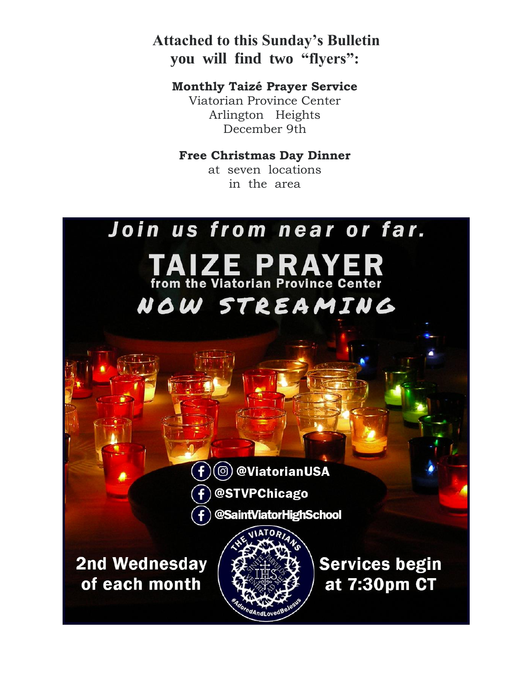**Attached to this Sunday's Bulletin you will find two "flyers":**

**Monthly Taizé Prayer Service** Viatorian Province Center Arlington Heights December 9th

#### **Free Christmas Day Dinner**

at seven locations in the area

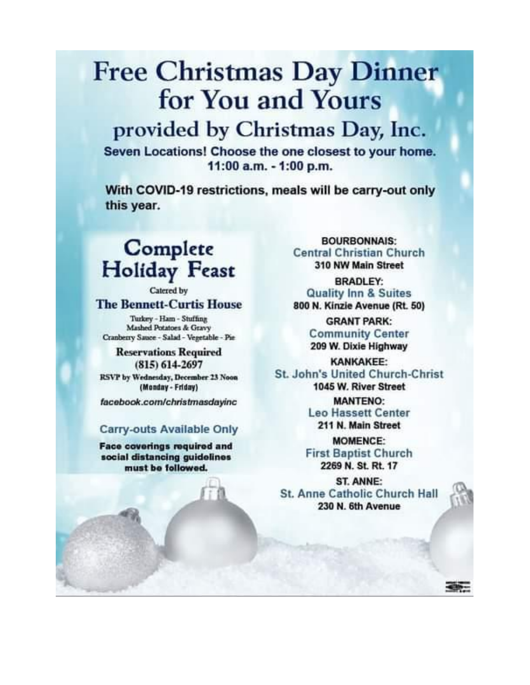# **Free Christmas Day Dinner** for You and Yours

## provided by Christmas Day, Inc.

Seven Locations! Choose the one closest to your home. 11:00 a.m. - 1:00 p.m.

With COVID-19 restrictions, meals will be carry-out only this year.

# Complete **Holiday Feast**

Catered by

**The Bennett-Curtis House** 

Turkey - Ham - Stuffing Mashed Potatoes & Gravy Cranberry Sauce - Salad - Vegetable - Pie

**Reservations Required**  $(815)$  614-2697

RSVP by Wednesday, December 23 Noon (Monday - Friday)

facebook.com/christmasdayinc

#### Carry-outs Available Only

Face coverings required and social distancing guidelines must be followed.

**BOURBONNAIS: Central Christian Church** 310 NW Main Street

**BRADLEY: Quality Inn & Suites** 800 N. Kinzie Avenue (Rt. 50)

> **GRANT PARK: Community Center** 209 W. Dixie Highway

**KANKAKEE: St. John's United Church-Christ** 1045 W. River Street

> **MANTENO: Leo Hassett Center** 211 N. Main Street

**MOMENCE: First Baptist Church** 2269 N. St. Rt. 17

ST. ANNE: St. Anne Catholic Church Hall 230 N. 6th Avenue